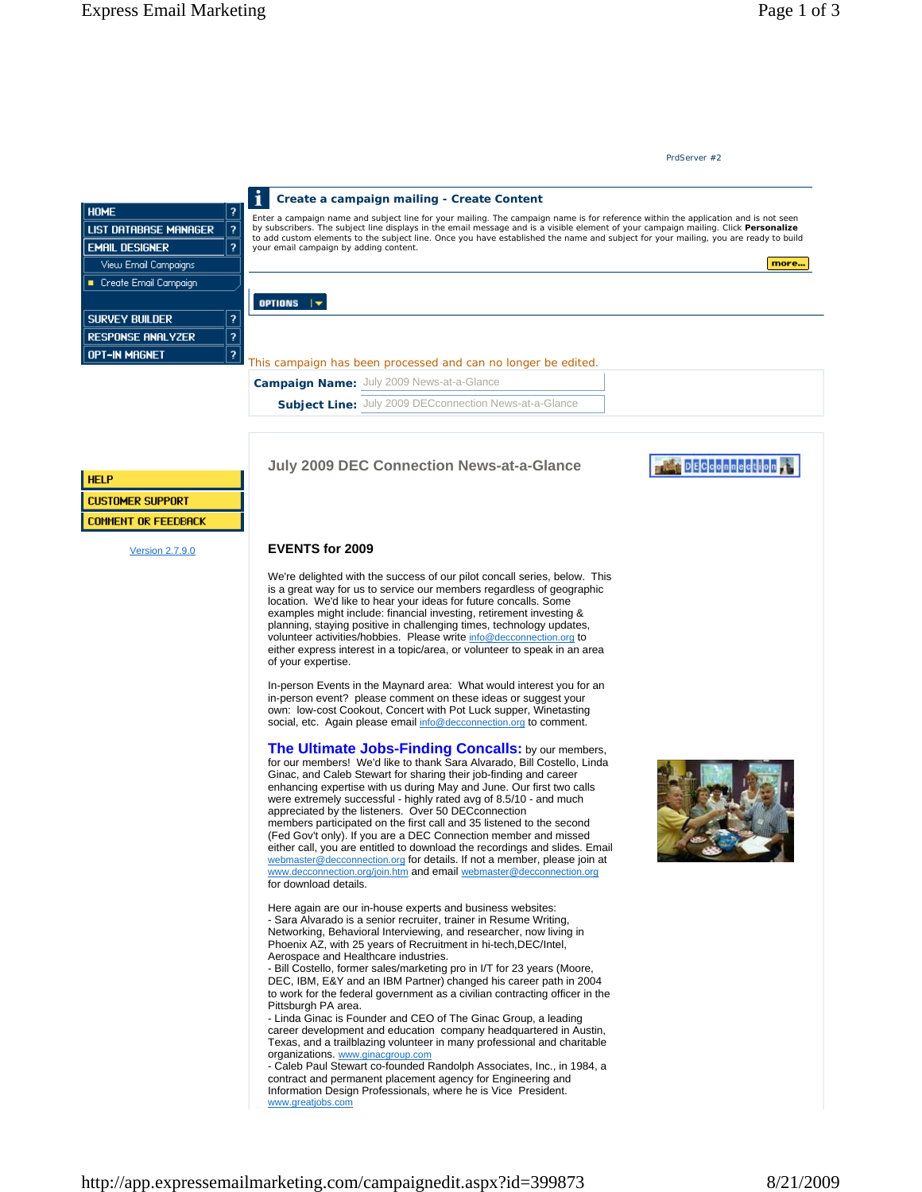## **EVENTS for 2009**

We're delighted with the success of our pilot concall series, below. This is a great way for us to service our members regardless of geographic location. We'd like to hear your ideas for future concalls. Some examples might include: financial investing, retirement investing & planning, staying positive in challenging times, technology updates, volunteer activities/hobbies. Please write info@decconnection.org to either express interest in a topic/area, or volunteer to speak in an area of your expertise.

In-person Events in the Maynard area: What would interest you for an in-person event? please comment on these ideas or suggest your own: low-cost Cookout, Concert with Pot Luck supper, Winetasting social, etc. Again please email info@decconnection.org to comment.

**The Ultimate Jobs-Finding Concalls:** by our members, for our members! We'd like to thank Sara Alvarado, Bill Costello, Linda Ginac, and Caleb Stewart for sharing their job-finding and career enhancing expertise with us during May and June. Our first two calls were extremely successful - highly rated avg of 8.5/10 - and much appreciated by the listeners. Over 50 DECconnection members participated on the first call and 35 listened to the second (Fed Gov't only). If you are a DEC Connection member and missed either call, you are entitled to download the recordings and slides. Email webmaster@decconnection.org for details. If not a member, please join at www.decconnection.org/join.htm and email webmaster@decconnection.org for download details.

Here again are our in-house experts and business websites: - Sara Alvarado is a senior recruiter, trainer in Resume Writing, Networking, Behavioral Interviewing, and researcher, now living in Phoenix AZ, with 25 years of Recruitment in hi-tech,DEC/Intel, Aerospace and Healthcare industries.

- Bill Costello, former sales/marketing pro in I/T for 23 years (Moore, DEC, IBM, E&Y and an IBM Partner) changed his career path in 2004 to work for the federal government as a civilian contracting officer in the Pittsburgh PA area.

- Linda Ginac is Founder and CEO of The Ginac Group, a leading career development and education company headquartered in Austin, Texas, and a trailblazing volunteer in many professional and charitable organizations. www.ginacgroup.com

- Caleb Paul Stewart co-founded Randolph Associates, Inc., in 1984, a contract and permanent placement agency for Engineering and Information Design Professionals, where he is Vice President. www.greatjobs.com

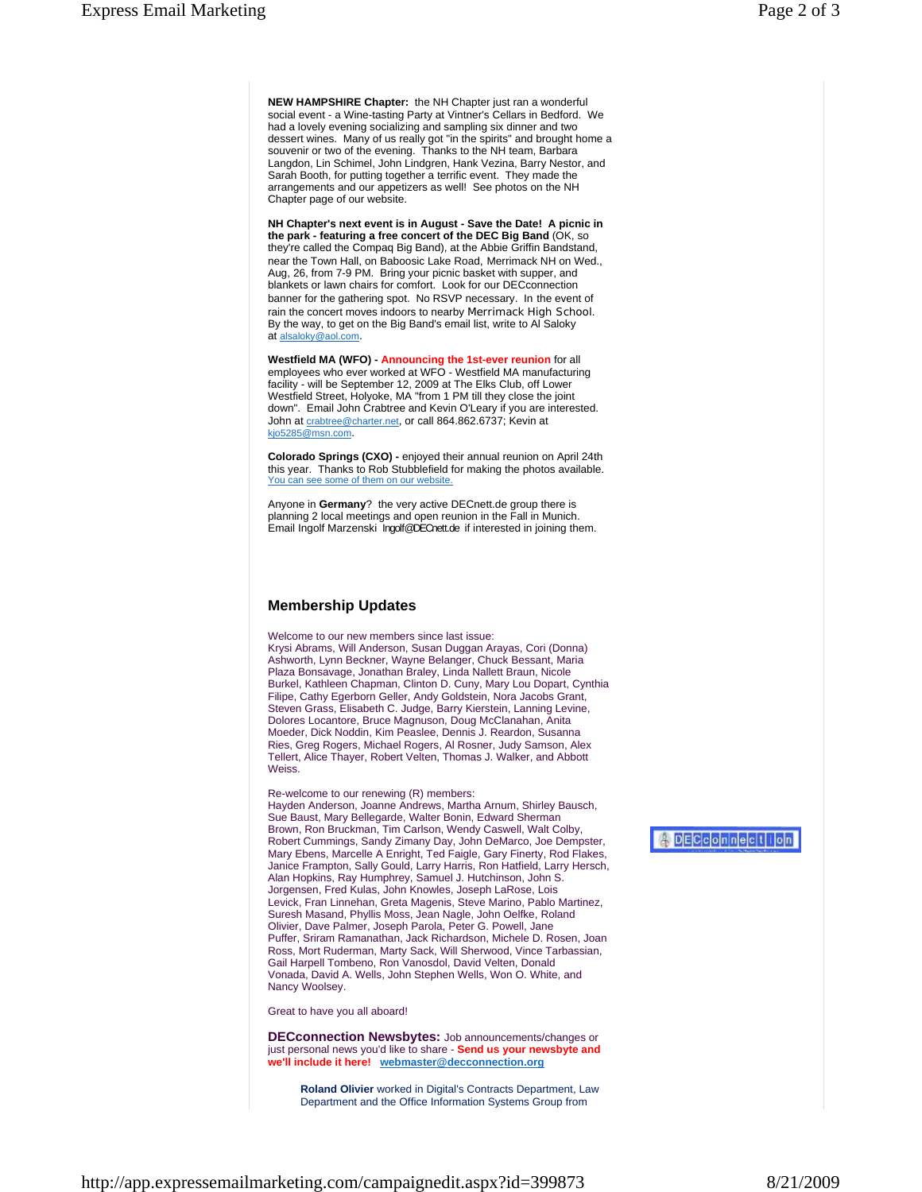**NEW HAMPSHIRE Chapter:** the NH Chapter just ran a wonderful social event - a Wine-tasting Party at Vintner's Cellars in Bedford. We had a lovely evening socializing and sampling six dinner and two dessert wines. Many of us really got "in the spirits" and brought home a souvenir or two of the evening. Thanks to the NH team, Barbara Langdon, Lin Schimel, John Lindgren, Hank Vezina, Barry Nestor, and Sarah Booth, for putting together a terrific event. They made the arrangements and our appetizers as well! See photos on the NH Chapter page of our website.

**NH Chapter's next event is in August - Save the Date! A picnic in the park - featuring a free concert of the DEC Big Band** (OK, so they're called the Compaq Big Band), at the Abbie Griffin Bandstand, near the Town Hall, on Baboosic Lake Road, Merrimack NH on Wed., Aug, 26, from 7-9 PM. Bring your picnic basket with supper, and blankets or lawn chairs for comfort. Look for our DECconnection banner for the gathering spot. No RSVP necessary. In the event of rain the concert moves indoors to nearby Merrimack High School. By the way, to get on the Big Band's email list, write to Al Saloky at alsaloky@aol.com.

**Westfield MA (WFO) - Announcing the 1st-ever reunion** for all employees who ever worked at WFO - Westfield MA manufacturing facility - will be September 12, 2009 at The Elks Club, off Lower Westfield Street, Holyoke, MA "from 1 PM till they close the joint down". Email John Crabtree and Kevin O'Leary if you are interested. John at crabtree@charter.net, or call 864.862.6737; Kevin at kjo5285@msn.com.

**Colorado Springs (CXO) -** enjoyed their annual reunion on April 24th this year. Thanks to Rob Stubblefield for making the photos available. You can see some of them on our website.

Anyone in **Germany**? the very active DECnett.de group there is planning 2 local meetings and open reunion in the Fall in Munich. Email Ingolf Marzenski Ingolf@DECnett.de if interested in joining them.

## **Membership Updates**

Welcome to our new members since last issue: Krysi Abrams, Will Anderson, Susan Duggan Arayas, Cori (Donna) Ashworth, Lynn Beckner, Wayne Belanger, Chuck Bessant, Maria Plaza Bonsavage, Jonathan Braley, Linda Nallett Braun, Nicole Burkel, Kathleen Chapman, Clinton D. Cuny, Mary Lou Dopart, Cynthia Filipe, Cathy Egerborn Geller, Andy Goldstein, Nora Jacobs Grant, Steven Grass, Elisabeth C. Judge, Barry Kierstein, Lanning Levine, Dolores Locantore, Bruce Magnuson, Doug McClanahan, Anita Moeder, Dick Noddin, Kim Peaslee, Dennis J. Reardon, Susanna Ries, Greg Rogers, Michael Rogers, Al Rosner, Judy Samson, Alex Tellert, Alice Thayer, Robert Velten, Thomas J. Walker, and Abbott Weiss.

Re-welcome to our renewing (R) members:

Hayden Anderson, Joanne Andrews, Martha Arnum, Shirley Bausch, Sue Baust, Mary Bellegarde, Walter Bonin, Edward Sherman Brown, Ron Bruckman, Tim Carlson, Wendy Caswell, Walt Colby, Robert Cummings, Sandy Zimany Day, John DeMarco, Joe Dempster, Mary Ebens, Marcelle A Enright, Ted Faigle, Gary Finerty, Rod Flakes, Janice Frampton, Sally Gould, Larry Harris, Ron Hatfield, Larry Hersch, Alan Hopkins, Ray Humphrey, Samuel J. Hutchinson, John S. Jorgensen, Fred Kulas, John Knowles, Joseph LaRose, Lois Levick, Fran Linnehan, Greta Magenis, Steve Marino, Pablo Martinez, Suresh Masand, Phyllis Moss, Jean Nagle, John Oelfke, Roland Olivier, Dave Palmer, Joseph Parola, Peter G. Powell, Jane Puffer, Sriram Ramanathan, Jack Richardson, Michele D. Rosen, Joan Ross, Mort Ruderman, Marty Sack, Will Sherwood, Vince Tarbassian, Gail Harpell Tombeno, Ron Vanosdol, David Velten, Donald Vonada, David A. Wells, John Stephen Wells, Won O. White, and Nancy Woolsey.

Great to have you all aboard!

**DECconnection Newsbytes:** Job announcements/changes or just personal news you'd like to share - **Send us your newsbyte and we'll include it here! webmaster@decconnection.org**

**Roland Olivier** worked in Digital's Contracts Department, Law Department and the Office Information Systems Group from

**ADECCOMMection**